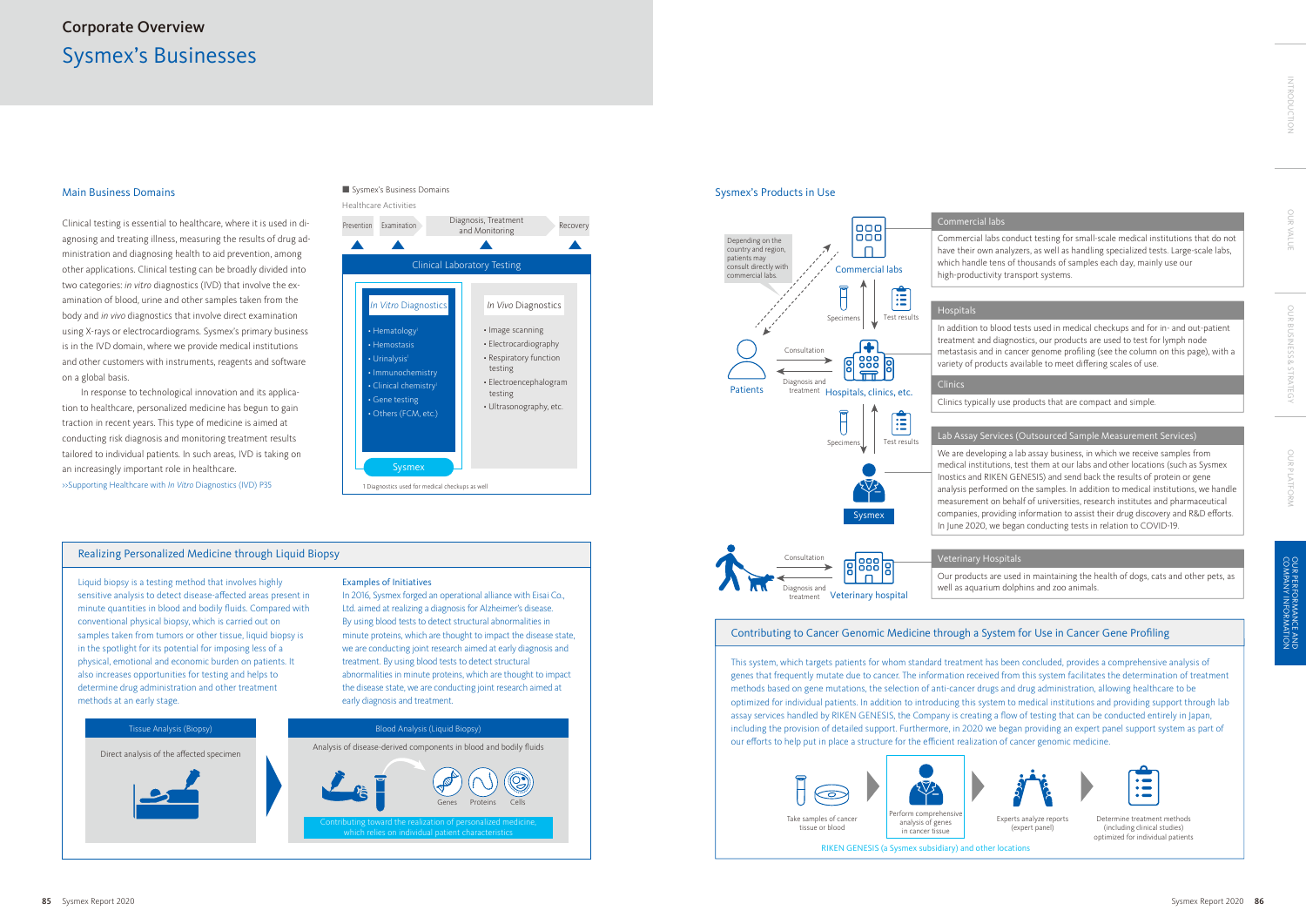



# Realizing Personalized Medicine through Liquid Biopsy

Liquid biopsy is a testing method that involves highly sensitive analysis to detect disease-affected areas present in minute quantities in blood and bodily fluids. Compared with conventional physical biopsy, which is carried out on samples taken from tumors or other tissue, liquid biopsy is in the spotlight for its potential for imposing less of a physical, emotional and economic burden on patients. It also increases opportunities for testing and helps to determine drug administration and other treatment methods at an early stage.

### Examples of Initiatives

In 2016, Sysmex forged an operational alliance with Eisai Co., Ltd. aimed at realizing a diagnosis for Alzheimer's disease. By using blood tests to detect structural abnormalities in minute proteins, which are thought to impact the disease state, we are conducting joint research aimed at early diagnosis and treatment. By using blood tests to detect structural abnormalities in minute proteins, which are thought to impact the disease state, we are conducting joint research aimed at early diagnosis and treatment.

# Sysmex's Businesses Corporate Overview

# Contributing to Cancer Genomic Medicine through a System for Use in Cancer Gene Profiling

This system, which targets patients for whom standard treatment has been concluded, provides a comprehensive analysis of genes that frequently mutate due to cancer. The information received from this system facilitates the determination of treatment methods based on gene mutations, the selection of anti-cancer drugs and drug administration, allowing healthcare to be optimized for individual patients. In addition to introducing this system to medical institutions and providing support through lab assay services handled by RIKEN GENESIS, the Company is creating a flow of testing that can be conducted entirely in Japan, including the provision of detailed support. Furthermore, in 2020 we began providing an expert panel support system as part of our efforts to help put in place a structure for the efficient realization of cancer genomic medicine.



Determine treatment methods (including clinical studies) optimized for individual patients

Experts analyze reports (expert panel)

# Main Business Domains

Clinical testing is essential to healthcare, where it is used in diagnosing and treating illness, measuring the results of drug administration and diagnosing health to aid prevention, among other applications. Clinical testing can be broadly divided into two categories: *in vitro* diagnostics (IVD) that involve the examination of blood, urine and other samples taken from the body and *in vivo* diagnostics that involve direct examination using X-rays or electrocardiograms. Sysmex's primary business is in the IVD domain, where we provide medical institutions and other customers with instruments, reagents and software on a global basis.

In response to technological innovation and its application to healthcare, personalized medicine has begun to gain traction in recent years. This type of medicine is aimed at conducting risk diagnosis and monitoring treatment results tailored to individual patients. In such areas, IVD is taking on an increasingly important role in healthcare. >>Supporting Healthcare with *In Vitro* Diagnostics (IVD) P35

# Sysmex's Business Domains

# Sysmex's Products in Use

Commercial labs conduct testing for small-scale medical institutions that do not have their own analyzers, as well as handling specialized tests. Large-scale labs, which handle tens of thousands of samples each day, mainly use our high-productivity transport systems.

Our products are used in maintaining the health of dogs, cats and other pets, as well as aquarium dolphins and zoo animals.







## Lab Assay Services (Outsourced Sample Measurement Services)

We are developing a lab assay business, in which we receive samples from medical institutions, test them at our labs and other locations (such as Sysmex Inostics and RIKEN GENESIS) and send back the results of protein or gene analysis performed on the samples. In addition to medical institutions, we handle measurement on behalf of universities, research institutes and pharmaceutical companies, providing information to assist their drug discovery and R&D efforts. In June 2020, we began conducting tests in relation to COVID-19.



In addition to blood tests used in medical checkups and for in- and out-patient treatment and diagnostics, our products are used to test for lymph node metastasis and in cancer genome profiling (see the column on this page), with a variety of products available to meet differing scales of use.

Clinics typically use products that are compact and simple.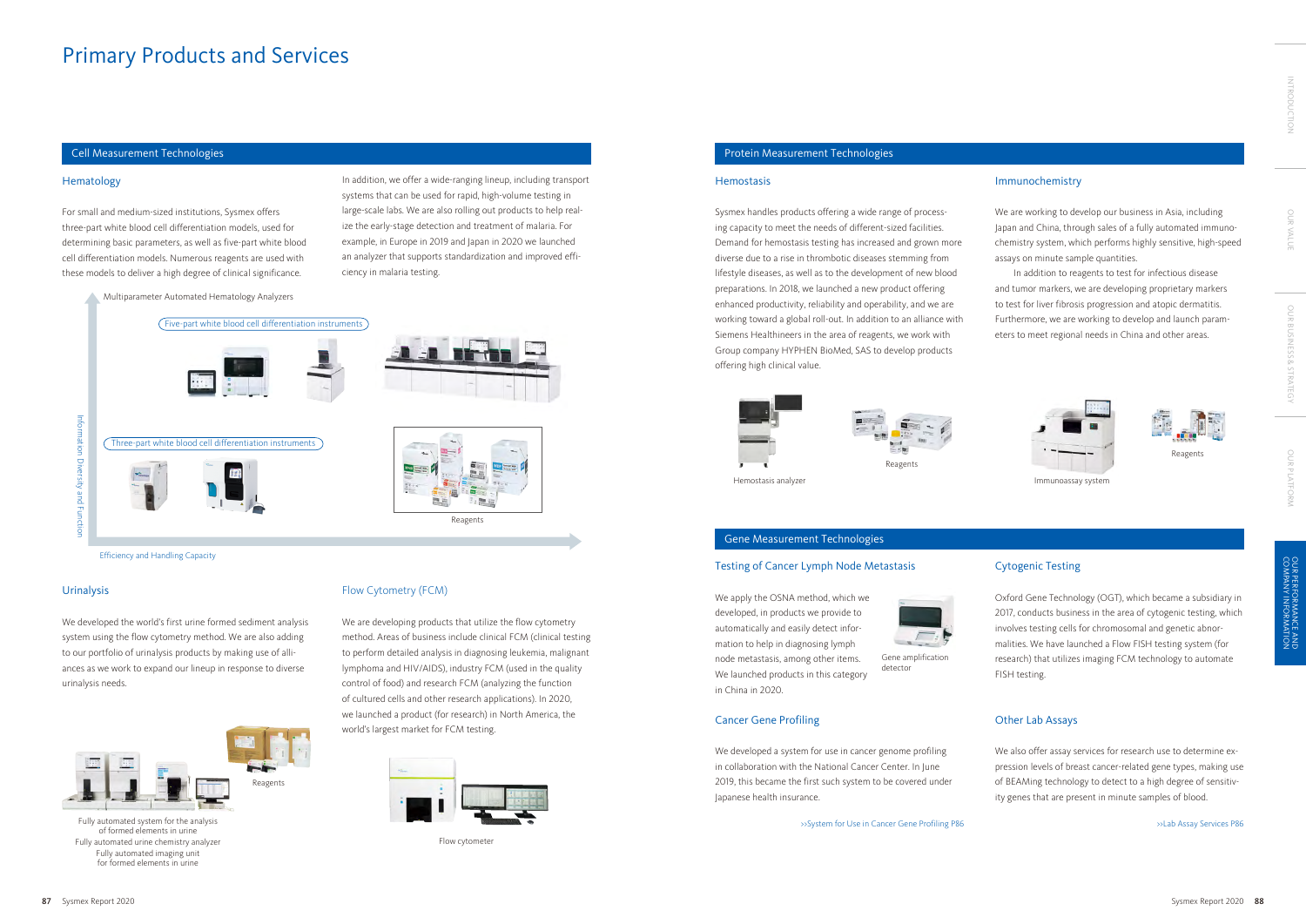For small and medium-sized institutions, Sysmex offers three-part white blood cell differentiation models, used for determining basic parameters, as well as five-part white blood cell differentiation models. Numerous reagents are used with these models to deliver a high degree of clinical significance.

## Urinalysis

We developed the world's first urine formed sediment analysis system using the flow cytometry method. We are also adding to our portfolio of urinalysis products by making use of alliances as we work to expand our lineup in response to diverse urinalysis needs.

We are developing products that utilize the flow cytometry method. Areas of business include clinical FCM (clinical testing to perform detailed analysis in diagnosing leukemia, malignant lymphoma and HIV/AIDS), industry FCM (used in the quality control of food) and research FCM (analyzing the function of cultured cells and other research applications). In 2020, we launched a product (for research) in North America, the world's largest market for FCM testing.

# Flow Cytometry (FCM)

Sysmex handles products offering a wide range of processing capacity to meet the needs of different-sized facilities. Demand for hemostasis testing has increased and grown more diverse due to a rise in thrombotic diseases stemming from lifestyle diseases, as well as to the development of new blood preparations. In 2018, we launched a new product offering enhanced productivity, reliability and operability, and we are working toward a global roll-out. In addition to an alliance with Siemens Healthineers in the area of reagents, we work with Group company HYPHEN BioMed, SAS to develop products offering high clinical value.



## Testing of Cancer Lymph Node Metastasis

We apply the OSNA method, which we developed, in products we provide to automatically and easily detect information to help in diagnosing lymph node metastasis, among other items. We launched products in this category in China in 2020.



# Cancer Gene Profiling

We developed a system for use in cancer genome profiling in collaboration with the National Cancer Center. In June 2019, this became the first such system to be covered under Japanese health insurance.

>>System for Use in Cancer Gene Profiling P86

## Immunochemistry

We are working to develop our business in Asia, including Japan and China, through sales of a fully automated immunochemistry system, which performs highly sensitive, high-speed assays on minute sample quantities.

In addition to reagents to test for infectious disease and tumor markers, we are developing proprietary markers to test for liver fibrosis progression and atopic dermatitis. Furthermore, we are working to develop and launch parameters to meet regional needs in China and other areas.





# Cytogenic Testing

Oxford Gene Technology (OGT), which became a subsidiary in 2017, conducts business in the area of cytogenic testing, which involves testing cells for chromosomal and genetic abnormalities. We have launched a Flow FISH testing system (for research) that utilizes imaging FCM technology to automate FISH testing.

# Other Lab Assays

We also offer assay services for research use to determine expression levels of breast cancer-related gene types, making use of BEAMing technology to detect to a high degree of sensitivity genes that are present in minute samples of blood.

>>Lab Assay Services P86

# Cell Measurement Technologies Protein Measurement Technologies

#### **Hemostasis**



Multiparameter Automated Hematology Analyzers



Hemostasis analyzer **Immunoassay** system



Fully automated system for the analysis of formed elements in urine Fully automated urine chemistry analyzer Fully automated imaging unit for formed elements in urine





Flow cytometer

Efficiency and Handling Capacity

Gene amplification detector

In addition, we offer a wide-ranging lineup, including transport systems that can be used for rapid, high-volume testing in large-scale labs. We are also rolling out products to help realize the early-stage detection and treatment of malaria. For example, in Europe in 2019 and Japan in 2020 we launched an analyzer that supports standardization and improved efficiency in malaria testing.

Reagents

# Primary Products and Services

### **Hematology**

OUR VALUE

OUR VALUI

OUR BUSINESS & STRATEGY

OUR BUSINESS & STRATEGY

OUR PLATFORM

OUR PLATFORM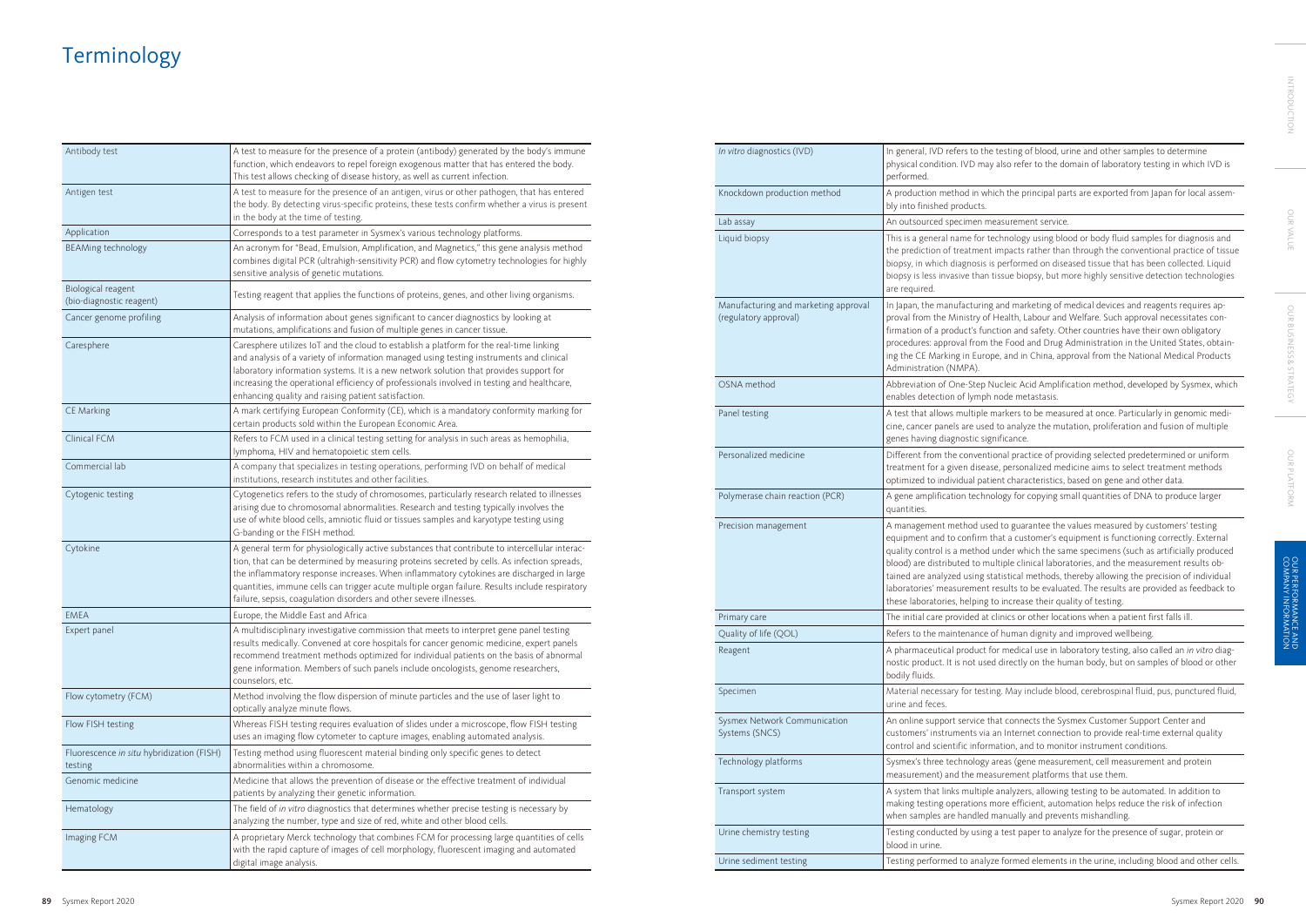| Antibody test                                        | A test to measure for the presence of a protein (antibody) generated by the body's immune<br>function, which endeavors to repel foreign exogenous matter that has entered the body.<br>This test allows checking of disease history, as well as current infection.                                                                                                                                                                                                |
|------------------------------------------------------|-------------------------------------------------------------------------------------------------------------------------------------------------------------------------------------------------------------------------------------------------------------------------------------------------------------------------------------------------------------------------------------------------------------------------------------------------------------------|
| Antigen test                                         | A test to measure for the presence of an antigen, virus or other pathogen, that has entered<br>the body. By detecting virus-specific proteins, these tests confirm whether a virus is present<br>in the body at the time of testing.                                                                                                                                                                                                                              |
| Application                                          | Corresponds to a test parameter in Sysmex's various technology platforms.                                                                                                                                                                                                                                                                                                                                                                                         |
| <b>BEAMing technology</b>                            | An acronym for "Bead, Emulsion, Amplification, and Magnetics," this gene analysis method<br>combines digital PCR (ultrahigh-sensitivity PCR) and flow cytometry technologies for highly<br>sensitive analysis of genetic mutations.                                                                                                                                                                                                                               |
| Biological reagent<br>(bio-diagnostic reagent)       | Testing reagent that applies the functions of proteins, genes, and other living organisms.                                                                                                                                                                                                                                                                                                                                                                        |
| Cancer genome profiling                              | Analysis of information about genes significant to cancer diagnostics by looking at<br>mutations, amplifications and fusion of multiple genes in cancer tissue.                                                                                                                                                                                                                                                                                                   |
| Caresphere                                           | Caresphere utilizes IoT and the cloud to establish a platform for the real-time linking<br>and analysis of a variety of information managed using testing instruments and clinical<br>laboratory information systems. It is a new network solution that provides support for<br>increasing the operational efficiency of professionals involved in testing and healthcare,<br>enhancing quality and raising patient satisfaction.                                 |
| CE Marking                                           | A mark certifying European Conformity (CE), which is a mandatory conformity marking for<br>certain products sold within the European Economic Area.                                                                                                                                                                                                                                                                                                               |
| Clinical FCM                                         | Refers to FCM used in a clinical testing setting for analysis in such areas as hemophilia,<br>lymphoma, HIV and hematopoietic stem cells.                                                                                                                                                                                                                                                                                                                         |
| Commercial lab                                       | A company that specializes in testing operations, performing IVD on behalf of medical<br>institutions, research institutes and other facilities.                                                                                                                                                                                                                                                                                                                  |
| Cytogenic testing                                    | Cytogenetics refers to the study of chromosomes, particularly research related to illnesses<br>arising due to chromosomal abnormalities. Research and testing typically involves the<br>use of white blood cells, amniotic fluid or tissues samples and karyotype testing using<br>G-banding or the FISH method.                                                                                                                                                  |
| Cytokine                                             | A general term for physiologically active substances that contribute to intercellular interac-<br>tion, that can be determined by measuring proteins secreted by cells. As infection spreads,<br>the inflammatory response increases. When inflammatory cytokines are discharged in large<br>quantities, immune cells can trigger acute multiple organ failure. Results include respiratory<br>failure, sepsis, coagulation disorders and other severe illnesses. |
| <b>EMEA</b>                                          | Europe, the Middle East and Africa                                                                                                                                                                                                                                                                                                                                                                                                                                |
| Expert panel                                         | A multidisciplinary investigative commission that meets to interpret gene panel testing<br>results medically. Convened at core hospitals for cancer genomic medicine, expert panels<br>recommend treatment methods optimized for individual patients on the basis of abnormal<br>gene information. Members of such panels include oncologists, genome researchers,<br>counselors, etc.                                                                            |
| Flow cytometry (FCM)                                 | Method involving the flow dispersion of minute particles and the use of laser light to<br>optically analyze minute flows.                                                                                                                                                                                                                                                                                                                                         |
| Flow FISH testing                                    | Whereas FISH testing requires evaluation of slides under a microscope, flow FISH testing<br>uses an imaging flow cytometer to capture images, enabling automated analysis.                                                                                                                                                                                                                                                                                        |
| Fluorescence in situ hybridization (FISH)<br>testing | Testing method using fluorescent material binding only specific genes to detect<br>abnormalities within a chromosome.                                                                                                                                                                                                                                                                                                                                             |
| Genomic medicine                                     | Medicine that allows the prevention of disease or the effective treatment of individual<br>patients by analyzing their genetic information.                                                                                                                                                                                                                                                                                                                       |
| Hematology                                           | The field of in vitro diagnostics that determines whether precise testing is necessary by<br>analyzing the number, type and size of red, white and other blood cells.                                                                                                                                                                                                                                                                                             |
| Imaging FCM                                          | A proprietary Merck technology that combines FCM for processing large quantities of cells<br>with the rapid capture of images of cell morphology, fluorescent imaging and automated<br>digital image analysis.                                                                                                                                                                                                                                                    |

| In vitro diagnostics (IVD)                                    | In general, IVD refers to th<br>physical condition. IVD ma<br>performed.                                                                                                                                    |  |  |
|---------------------------------------------------------------|-------------------------------------------------------------------------------------------------------------------------------------------------------------------------------------------------------------|--|--|
| Knockdown production method                                   | A production method in w<br>bly into finished products.                                                                                                                                                     |  |  |
| Lab assay                                                     | An outsourced specimen n                                                                                                                                                                                    |  |  |
| Liquid biopsy                                                 | This is a general name for t<br>the prediction of treatmen<br>biopsy, in which diagnosis<br>biopsy is less invasive than<br>are required.                                                                   |  |  |
| Manufacturing and marketing approval<br>(regulatory approval) | In Japan, the manufacturin<br>proval from the Ministry of<br>firmation of a product's fur<br>procedures: approval from<br>ing the CE Marking in Euro<br>Administration (NMPA).                              |  |  |
| OSNA method                                                   | Abbreviation of One-Step<br>enables detection of lympl                                                                                                                                                      |  |  |
| Panel testing                                                 | A test that allows multiple<br>cine, cancer panels are use<br>genes having diagnostic sig                                                                                                                   |  |  |
| Personalized medicine                                         | Different from the convent<br>treatment for a given disea<br>optimized to individual pat                                                                                                                    |  |  |
| Polymerase chain reaction (PCR)                               | A gene amplification techr<br>quantities.                                                                                                                                                                   |  |  |
| Precision management                                          | A management method us<br>equipment and to confirm<br>quality control is a methoc<br>blood) are distributed to m<br>tained are analyzed using s<br>laboratories' measurement<br>these laboratories, helping |  |  |
| Primary care                                                  | The initial care provided at                                                                                                                                                                                |  |  |
| Quality of life (QOL)                                         | Refers to the maintenance                                                                                                                                                                                   |  |  |
| Reagent                                                       | A pharmaceutical product<br>nostic product. It is not use<br>bodily fluids.                                                                                                                                 |  |  |
| Specimen                                                      | Material necessary for test<br>urine and feces.                                                                                                                                                             |  |  |
| Sysmex Network Communication<br>Systems (SNCS)                | An online support service t<br>customers' instruments via<br>control and scientific infor                                                                                                                   |  |  |
| Technology platforms                                          | Sysmex's three technology<br>measurement) and the me                                                                                                                                                        |  |  |
| Transport system                                              | A system that links multipl<br>making testing operations<br>when samples are handled                                                                                                                        |  |  |
| Urine chemistry testing                                       | Testing conducted by using<br>blood in urine.                                                                                                                                                               |  |  |
| Urine sediment testing                                        | Testing performed to analy                                                                                                                                                                                  |  |  |

**In virthostics (IVD)** here testing the testing of the testing of blood, uring the testing of the testing of the t ay also refer to the domain of laboratory testing in which IVD is

thich the principal parts are exported from Japan for local assem-

measurement service.

technology using blood or body fluid samples for diagnosis and it impacts rather than through the conventional practice of tissue is performed on diseased tissue that has been collected. Liquid itissue biopsy, but more highly sensitive detection technologies

In and marketing of medical devices and reagents requires apf Health, Labour and Welfare. Such approval necessitates connction and safety. Other countries have their own obligatory the Food and Drug Administration in the United States, obtainppe, and in China, approval from the National Medical Products

Nucleic Acid Amplification method, developed by Sysmex, which h node metastasis.

markers to be measured at once. Particularly in genomic medied to analyze the mutation, proliferation and fusion of multiple gnificance.

tional practice of providing selected predetermined or uniform ase, personalized medicine aims to select treatment methods tient characteristics, based on gene and other data.

nology for copying small quantities of DNA to produce larger

sed to guarantee the values measured by customers' testing that a customer's equipment is functioning correctly. External l under which the same specimens (such as artificially produced hultiple clinical laboratories, and the measurement results obstatistical methods, thereby allowing the precision of individual results to be evaluated. The results are provided as feedback to to increase their quality of testing.

t clinics or other locations when a patient first falls ill.

of human dignity and improved wellbeing.

for medical use in laboratory testing, also called an *in vitro* diaged directly on the human body, but on samples of blood or other

ting. May include blood, cerebrospinal fluid, pus, punctured fluid,

that connects the Sysmex Customer Support Center and an Internet connection to provide real-time external quality mation, and to monitor instrument conditions.

areas (gene measurement, cell measurement and protein easurement platforms that use them.

Ie analyzers, allowing testing to be automated. In addition to more efficient, automation helps reduce the risk of infection I manually and prevents mishandling.

g a test paper to analyze for the presence of sugar, protein or

yze formed elements in the urine, including blood and other cells.

# Terminology